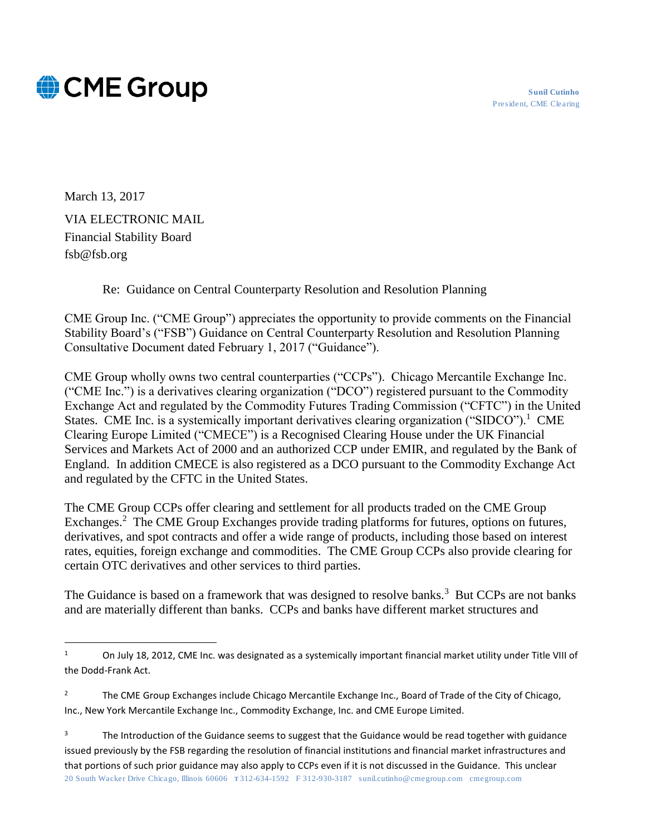



March 13, 2017 VIA ELECTRONIC MAIL Financial Stability Board fsb@fsb.org

 $\overline{a}$ 

Re: Guidance on Central Counterparty Resolution and Resolution Planning

CME Group Inc. ("CME Group") appreciates the opportunity to provide comments on the Financial Stability Board's ("FSB") Guidance on Central Counterparty Resolution and Resolution Planning Consultative Document dated February 1, 2017 ("Guidance").

CME Group wholly owns two central counterparties ("CCPs"). Chicago Mercantile Exchange Inc. ("CME Inc.") is a derivatives clearing organization ("DCO") registered pursuant to the Commodity Exchange Act and regulated by the Commodity Futures Trading Commission ("CFTC") in the United States. CME Inc. is a systemically important derivatives clearing organization ("SIDCO").<sup>1</sup> CME Clearing Europe Limited ("CMECE") is a Recognised Clearing House under the UK Financial Services and Markets Act of 2000 and an authorized CCP under EMIR, and regulated by the Bank of England. In addition CMECE is also registered as a DCO pursuant to the Commodity Exchange Act and regulated by the CFTC in the United States.

The CME Group CCPs offer clearing and settlement for all products traded on the CME Group Exchanges.<sup>2</sup> The CME Group Exchanges provide trading platforms for futures, options on futures, derivatives, and spot contracts and offer a wide range of products, including those based on interest rates, equities, foreign exchange and commodities. The CME Group CCPs also provide clearing for certain OTC derivatives and other services to third parties.

The Guidance is based on a framework that was designed to resolve banks.<sup>3</sup> But CCPs are not banks and are materially different than banks. CCPs and banks have different market structures and

<sup>&</sup>lt;sup>1</sup> On July 18, 2012, CME Inc. was designated as a systemically important financial market utility under Title VIII of the Dodd-Frank Act.

<sup>&</sup>lt;sup>2</sup> The CME Group Exchanges include Chicago Mercantile Exchange Inc., Board of Trade of the City of Chicago, Inc., New York Mercantile Exchange Inc., Commodity Exchange, Inc. and CME Europe Limited.

<sup>20</sup> South Wacker Drive Chicago, Illinois 60606 T 312-634-1592 F 312-930-3187 sunil.cutinho@cmegroup.com cmegroup.com <sup>3</sup> The Introduction of the Guidance seems to suggest that the Guidance would be read together with guidance issued previously by the FSB regarding the resolution of financial institutions and financial market infrastructures and that portions of such prior guidance may also apply to CCPs even if it is not discussed in the Guidance. This unclear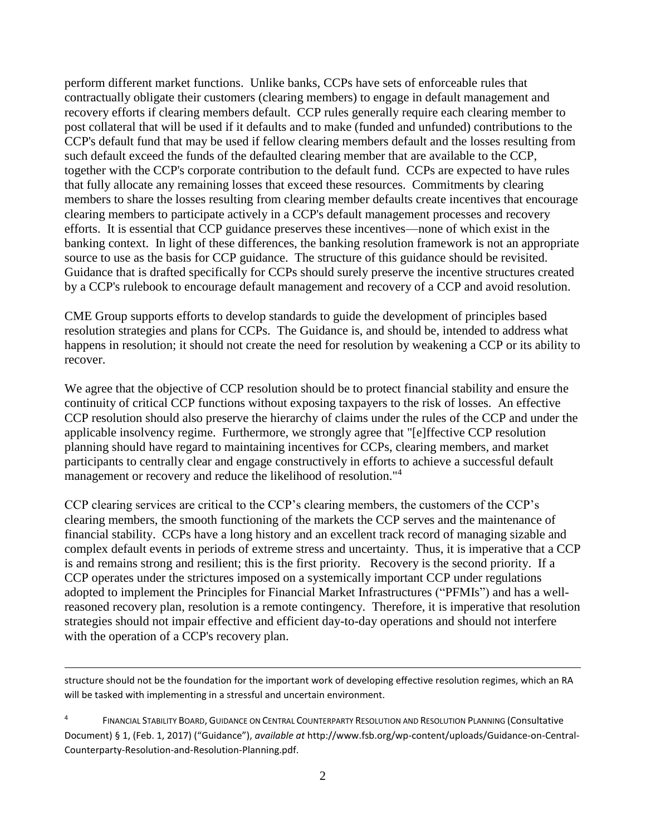perform different market functions. Unlike banks, CCPs have sets of enforceable rules that contractually obligate their customers (clearing members) to engage in default management and recovery efforts if clearing members default. CCP rules generally require each clearing member to post collateral that will be used if it defaults and to make (funded and unfunded) contributions to the CCP's default fund that may be used if fellow clearing members default and the losses resulting from such default exceed the funds of the defaulted clearing member that are available to the CCP, together with the CCP's corporate contribution to the default fund. CCPs are expected to have rules that fully allocate any remaining losses that exceed these resources. Commitments by clearing members to share the losses resulting from clearing member defaults create incentives that encourage clearing members to participate actively in a CCP's default management processes and recovery efforts. It is essential that CCP guidance preserves these incentives—none of which exist in the banking context. In light of these differences, the banking resolution framework is not an appropriate source to use as the basis for CCP guidance. The structure of this guidance should be revisited. Guidance that is drafted specifically for CCPs should surely preserve the incentive structures created by a CCP's rulebook to encourage default management and recovery of a CCP and avoid resolution.

CME Group supports efforts to develop standards to guide the development of principles based resolution strategies and plans for CCPs. The Guidance is, and should be, intended to address what happens in resolution; it should not create the need for resolution by weakening a CCP or its ability to recover.

We agree that the objective of CCP resolution should be to protect financial stability and ensure the continuity of critical CCP functions without exposing taxpayers to the risk of losses. An effective CCP resolution should also preserve the hierarchy of claims under the rules of the CCP and under the applicable insolvency regime. Furthermore, we strongly agree that "[e]ffective CCP resolution planning should have regard to maintaining incentives for CCPs, clearing members, and market participants to centrally clear and engage constructively in efforts to achieve a successful default management or recovery and reduce the likelihood of resolution."<sup>4</sup>

CCP clearing services are critical to the CCP's clearing members, the customers of the CCP's clearing members, the smooth functioning of the markets the CCP serves and the maintenance of financial stability. CCPs have a long history and an excellent track record of managing sizable and complex default events in periods of extreme stress and uncertainty. Thus, it is imperative that a CCP is and remains strong and resilient; this is the first priority. Recovery is the second priority. If a CCP operates under the strictures imposed on a systemically important CCP under regulations adopted to implement the Principles for Financial Market Infrastructures ("PFMIs") and has a wellreasoned recovery plan, resolution is a remote contingency. Therefore, it is imperative that resolution strategies should not impair effective and efficient day-to-day operations and should not interfere with the operation of a CCP's recovery plan.

structure should not be the foundation for the important work of developing effective resolution regimes, which an RA will be tasked with implementing in a stressful and uncertain environment.

<sup>4</sup> FINANCIAL STABILITY BOARD, GUIDANCE ON CENTRAL COUNTERPARTY RESOLUTION AND RESOLUTION PLANNING (Consultative Document) § 1, (Feb. 1, 2017) ("Guidance"), *available at* http://www.fsb.org/wp-content/uploads/Guidance-on-Central-Counterparty-Resolution-and-Resolution-Planning.pdf.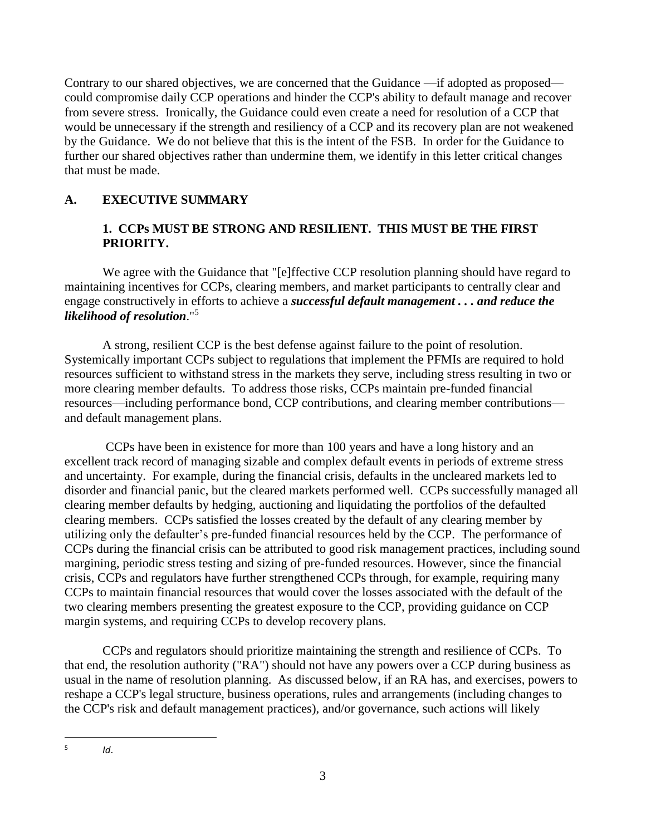Contrary to our shared objectives, we are concerned that the Guidance —if adopted as proposed could compromise daily CCP operations and hinder the CCP's ability to default manage and recover from severe stress. Ironically, the Guidance could even create a need for resolution of a CCP that would be unnecessary if the strength and resiliency of a CCP and its recovery plan are not weakened by the Guidance. We do not believe that this is the intent of the FSB. In order for the Guidance to further our shared objectives rather than undermine them, we identify in this letter critical changes that must be made.

## **A. EXECUTIVE SUMMARY**

### **1. CCPs MUST BE STRONG AND RESILIENT. THIS MUST BE THE FIRST PRIORITY.**

We agree with the Guidance that "[e]ffective CCP resolution planning should have regard to maintaining incentives for CCPs, clearing members, and market participants to centrally clear and engage constructively in efforts to achieve a *successful default management . . . and reduce the likelihood of resolution*."<sup>5</sup>

A strong, resilient CCP is the best defense against failure to the point of resolution. Systemically important CCPs subject to regulations that implement the PFMIs are required to hold resources sufficient to withstand stress in the markets they serve, including stress resulting in two or more clearing member defaults. To address those risks, CCPs maintain pre-funded financial resources—including performance bond, CCP contributions, and clearing member contributions and default management plans.

CCPs have been in existence for more than 100 years and have a long history and an excellent track record of managing sizable and complex default events in periods of extreme stress and uncertainty. For example, during the financial crisis, defaults in the uncleared markets led to disorder and financial panic, but the cleared markets performed well. CCPs successfully managed all clearing member defaults by hedging, auctioning and liquidating the portfolios of the defaulted clearing members. CCPs satisfied the losses created by the default of any clearing member by utilizing only the defaulter's pre-funded financial resources held by the CCP. The performance of CCPs during the financial crisis can be attributed to good risk management practices, including sound margining, periodic stress testing and sizing of pre-funded resources. However, since the financial crisis, CCPs and regulators have further strengthened CCPs through, for example, requiring many CCPs to maintain financial resources that would cover the losses associated with the default of the two clearing members presenting the greatest exposure to the CCP, providing guidance on CCP margin systems, and requiring CCPs to develop recovery plans.

CCPs and regulators should prioritize maintaining the strength and resilience of CCPs. To that end, the resolution authority ("RA") should not have any powers over a CCP during business as usual in the name of resolution planning. As discussed below, if an RA has, and exercises, powers to reshape a CCP's legal structure, business operations, rules and arrangements (including changes to the CCP's risk and default management practices), and/or governance, such actions will likely

 $\overline{a}$ 5 *Id*.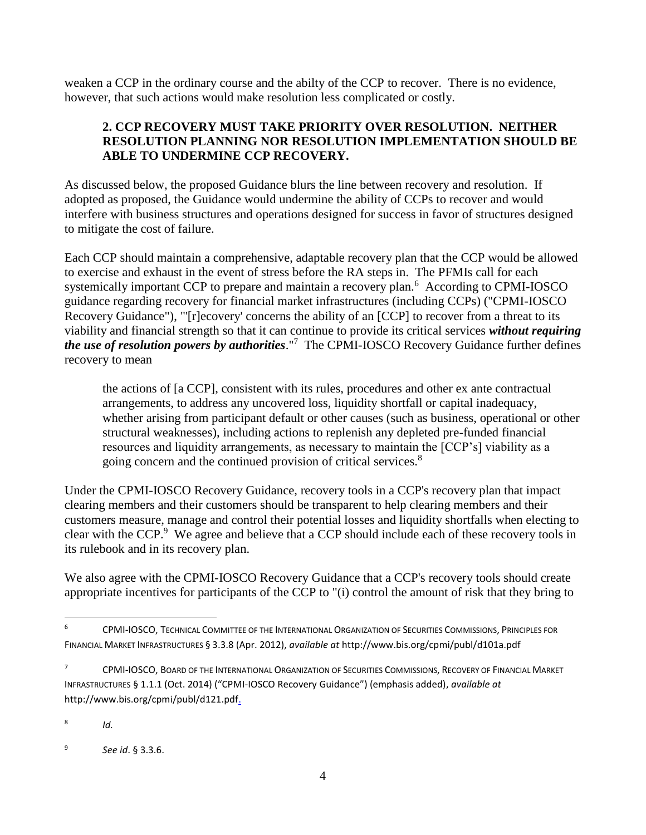weaken a CCP in the ordinary course and the abilty of the CCP to recover. There is no evidence, however, that such actions would make resolution less complicated or costly.

### **2. CCP RECOVERY MUST TAKE PRIORITY OVER RESOLUTION. NEITHER RESOLUTION PLANNING NOR RESOLUTION IMPLEMENTATION SHOULD BE ABLE TO UNDERMINE CCP RECOVERY.**

As discussed below, the proposed Guidance blurs the line between recovery and resolution. If adopted as proposed, the Guidance would undermine the ability of CCPs to recover and would interfere with business structures and operations designed for success in favor of structures designed to mitigate the cost of failure.

Each CCP should maintain a comprehensive, adaptable recovery plan that the CCP would be allowed to exercise and exhaust in the event of stress before the RA steps in. The PFMIs call for each systemically important CCP to prepare and maintain a recovery plan.<sup>6</sup> According to CPMI-IOSCO guidance regarding recovery for financial market infrastructures (including CCPs) ("CPMI-IOSCO Recovery Guidance"), "'[r]ecovery' concerns the ability of an [CCP] to recover from a threat to its viability and financial strength so that it can continue to provide its critical services *without requiring the use of resolution powers by authorities*."<sup>7</sup> The CPMI-IOSCO Recovery Guidance further defines recovery to mean

the actions of [a CCP], consistent with its rules, procedures and other ex ante contractual arrangements, to address any uncovered loss, liquidity shortfall or capital inadequacy, whether arising from participant default or other causes (such as business, operational or other structural weaknesses), including actions to replenish any depleted pre-funded financial resources and liquidity arrangements, as necessary to maintain the [CCP's] viability as a going concern and the continued provision of critical services.<sup>8</sup>

Under the CPMI-IOSCO Recovery Guidance, recovery tools in a CCP's recovery plan that impact clearing members and their customers should be transparent to help clearing members and their customers measure, manage and control their potential losses and liquidity shortfalls when electing to clear with the CCP. $9$  We agree and believe that a CCP should include each of these recovery tools in its rulebook and in its recovery plan.

We also agree with the CPMI-IOSCO Recovery Guidance that a CCP's recovery tools should create appropriate incentives for participants of the CCP to "(i) control the amount of risk that they bring to

<sup>6</sup> CPMI-IOSCO, TECHNICAL COMMITTEE OF THE INTERNATIONAL ORGANIZATION OF SECURITIES COMMISSIONS, PRINCIPLES FOR FINANCIAL MARKET INFRASTRUCTURES § 3.3.8 (Apr. 2012), *available at* http://www.bis.org/cpmi/publ/d101a.pdf

<sup>&</sup>lt;sup>7</sup> CPMI-IOSCO, BOARD OF THE INTERNATIONAL ORGANIZATION OF SECURITIES COMMISSIONS, RECOVERY OF FINANCIAL MARKET INFRASTRUCTURES § 1.1.1 (Oct. 2014) ("CPMI-IOSCO Recovery Guidance") (emphasis added), *available at* http://www.bis.org/cpmi/publ/d121.pdf.

<sup>8</sup> *Id.*

 $\overline{q}$ *See id*. § 3.3.6.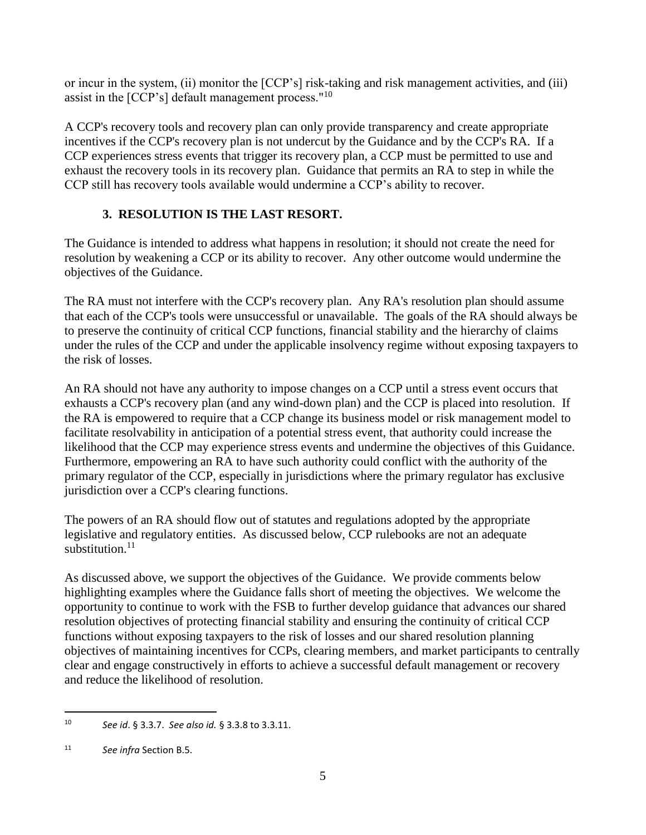or incur in the system, (ii) monitor the [CCP's] risk-taking and risk management activities, and (iii) assist in the  $[CCP's]$  default management process."<sup>10</sup>

A CCP's recovery tools and recovery plan can only provide transparency and create appropriate incentives if the CCP's recovery plan is not undercut by the Guidance and by the CCP's RA. If a CCP experiences stress events that trigger its recovery plan, a CCP must be permitted to use and exhaust the recovery tools in its recovery plan. Guidance that permits an RA to step in while the CCP still has recovery tools available would undermine a CCP's ability to recover.

# **3. RESOLUTION IS THE LAST RESORT.**

The Guidance is intended to address what happens in resolution; it should not create the need for resolution by weakening a CCP or its ability to recover. Any other outcome would undermine the objectives of the Guidance.

The RA must not interfere with the CCP's recovery plan. Any RA's resolution plan should assume that each of the CCP's tools were unsuccessful or unavailable. The goals of the RA should always be to preserve the continuity of critical CCP functions, financial stability and the hierarchy of claims under the rules of the CCP and under the applicable insolvency regime without exposing taxpayers to the risk of losses.

An RA should not have any authority to impose changes on a CCP until a stress event occurs that exhausts a CCP's recovery plan (and any wind-down plan) and the CCP is placed into resolution. If the RA is empowered to require that a CCP change its business model or risk management model to facilitate resolvability in anticipation of a potential stress event, that authority could increase the likelihood that the CCP may experience stress events and undermine the objectives of this Guidance. Furthermore, empowering an RA to have such authority could conflict with the authority of the primary regulator of the CCP, especially in jurisdictions where the primary regulator has exclusive jurisdiction over a CCP's clearing functions.

The powers of an RA should flow out of statutes and regulations adopted by the appropriate legislative and regulatory entities. As discussed below, CCP rulebooks are not an adequate substitution $11$ 

As discussed above, we support the objectives of the Guidance. We provide comments below highlighting examples where the Guidance falls short of meeting the objectives. We welcome the opportunity to continue to work with the FSB to further develop guidance that advances our shared resolution objectives of protecting financial stability and ensuring the continuity of critical CCP functions without exposing taxpayers to the risk of losses and our shared resolution planning objectives of maintaining incentives for CCPs, clearing members, and market participants to centrally clear and engage constructively in efforts to achieve a successful default management or recovery and reduce the likelihood of resolution.

<sup>10</sup> *See id*. § 3.3.7. *See also id.* § 3.3.8 to 3.3.11.

<sup>11</sup> *See infra* Section B.5.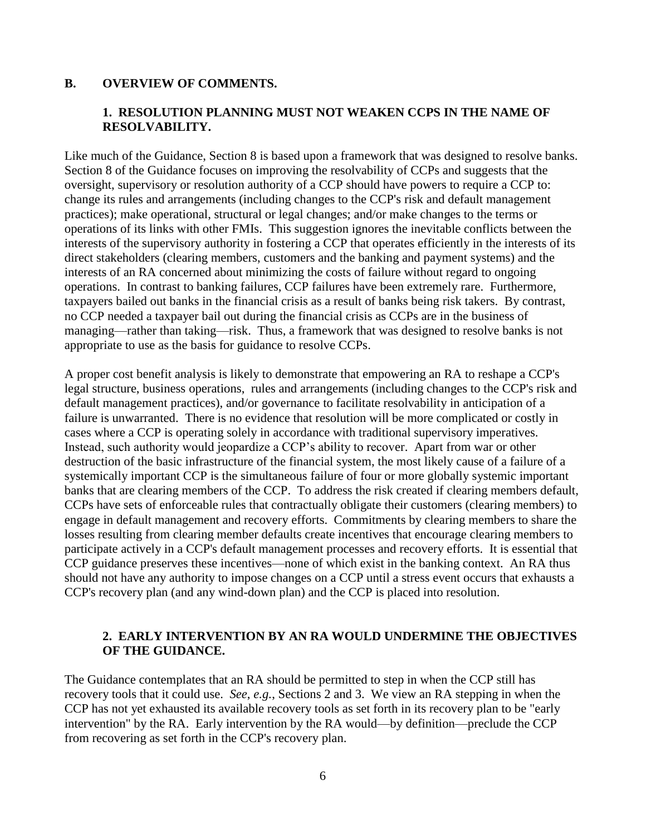#### **B. OVERVIEW OF COMMENTS.**

#### **1. RESOLUTION PLANNING MUST NOT WEAKEN CCPS IN THE NAME OF RESOLVABILITY.**

Like much of the Guidance, Section 8 is based upon a framework that was designed to resolve banks. Section 8 of the Guidance focuses on improving the resolvability of CCPs and suggests that the oversight, supervisory or resolution authority of a CCP should have powers to require a CCP to: change its rules and arrangements (including changes to the CCP's risk and default management practices); make operational, structural or legal changes; and/or make changes to the terms or operations of its links with other FMIs. This suggestion ignores the inevitable conflicts between the interests of the supervisory authority in fostering a CCP that operates efficiently in the interests of its direct stakeholders (clearing members, customers and the banking and payment systems) and the interests of an RA concerned about minimizing the costs of failure without regard to ongoing operations. In contrast to banking failures, CCP failures have been extremely rare. Furthermore, taxpayers bailed out banks in the financial crisis as a result of banks being risk takers. By contrast, no CCP needed a taxpayer bail out during the financial crisis as CCPs are in the business of managing—rather than taking—risk. Thus, a framework that was designed to resolve banks is not appropriate to use as the basis for guidance to resolve CCPs.

A proper cost benefit analysis is likely to demonstrate that empowering an RA to reshape a CCP's legal structure, business operations, rules and arrangements (including changes to the CCP's risk and default management practices), and/or governance to facilitate resolvability in anticipation of a failure is unwarranted. There is no evidence that resolution will be more complicated or costly in cases where a CCP is operating solely in accordance with traditional supervisory imperatives. Instead, such authority would jeopardize a CCP's ability to recover. Apart from war or other destruction of the basic infrastructure of the financial system, the most likely cause of a failure of a systemically important CCP is the simultaneous failure of four or more globally systemic important banks that are clearing members of the CCP. To address the risk created if clearing members default, CCPs have sets of enforceable rules that contractually obligate their customers (clearing members) to engage in default management and recovery efforts. Commitments by clearing members to share the losses resulting from clearing member defaults create incentives that encourage clearing members to participate actively in a CCP's default management processes and recovery efforts. It is essential that CCP guidance preserves these incentives—none of which exist in the banking context. An RA thus should not have any authority to impose changes on a CCP until a stress event occurs that exhausts a CCP's recovery plan (and any wind-down plan) and the CCP is placed into resolution.

#### **2. EARLY INTERVENTION BY AN RA WOULD UNDERMINE THE OBJECTIVES OF THE GUIDANCE.**

The Guidance contemplates that an RA should be permitted to step in when the CCP still has recovery tools that it could use. *See*, *e.g.*, Sections 2 and 3. We view an RA stepping in when the CCP has not yet exhausted its available recovery tools as set forth in its recovery plan to be "early intervention" by the RA. Early intervention by the RA would—by definition—preclude the CCP from recovering as set forth in the CCP's recovery plan.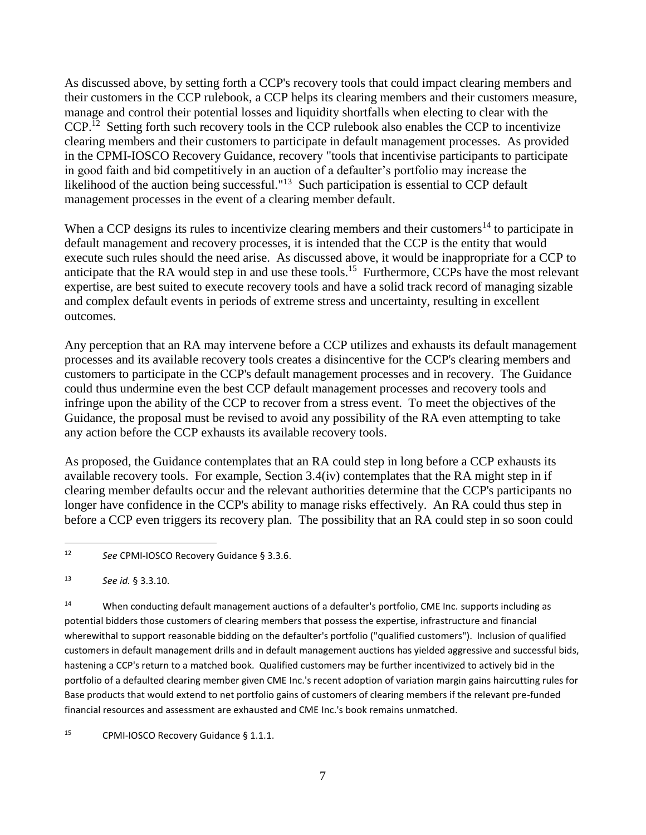As discussed above, by setting forth a CCP's recovery tools that could impact clearing members and their customers in the CCP rulebook, a CCP helps its clearing members and their customers measure, manage and control their potential losses and liquidity shortfalls when electing to clear with the CCP.<sup>12</sup> Setting forth such recovery tools in the CCP rulebook also enables the CCP to incentivize clearing members and their customers to participate in default management processes. As provided in the CPMI-IOSCO Recovery Guidance, recovery "tools that incentivise participants to participate in good faith and bid competitively in an auction of a defaulter's portfolio may increase the likelihood of the auction being successful."<sup>13</sup> Such participation is essential to CCP default management processes in the event of a clearing member default.

When a CCP designs its rules to incentivize clearing members and their customers<sup>14</sup> to participate in default management and recovery processes, it is intended that the CCP is the entity that would execute such rules should the need arise. As discussed above, it would be inappropriate for a CCP to anticipate that the RA would step in and use these tools.<sup>15</sup> Furthermore, CCPs have the most relevant expertise, are best suited to execute recovery tools and have a solid track record of managing sizable and complex default events in periods of extreme stress and uncertainty, resulting in excellent outcomes.

Any perception that an RA may intervene before a CCP utilizes and exhausts its default management processes and its available recovery tools creates a disincentive for the CCP's clearing members and customers to participate in the CCP's default management processes and in recovery. The Guidance could thus undermine even the best CCP default management processes and recovery tools and infringe upon the ability of the CCP to recover from a stress event. To meet the objectives of the Guidance, the proposal must be revised to avoid any possibility of the RA even attempting to take any action before the CCP exhausts its available recovery tools.

As proposed, the Guidance contemplates that an RA could step in long before a CCP exhausts its available recovery tools. For example, Section 3.4(iv) contemplates that the RA might step in if clearing member defaults occur and the relevant authorities determine that the CCP's participants no longer have confidence in the CCP's ability to manage risks effectively. An RA could thus step in before a CCP even triggers its recovery plan. The possibility that an RA could step in so soon could

 $\overline{a}$ 

<sup>14</sup> When conducting default management auctions of a defaulter's portfolio, CME Inc. supports including as potential bidders those customers of clearing members that possess the expertise, infrastructure and financial wherewithal to support reasonable bidding on the defaulter's portfolio ("qualified customers"). Inclusion of qualified customers in default management drills and in default management auctions has yielded aggressive and successful bids, hastening a CCP's return to a matched book. Qualified customers may be further incentivized to actively bid in the portfolio of a defaulted clearing member given CME Inc.'s recent adoption of variation margin gains haircutting rules for Base products that would extend to net portfolio gains of customers of clearing members if the relevant pre-funded financial resources and assessment are exhausted and CME Inc.'s book remains unmatched.

<sup>15</sup> CPMI-IOSCO Recovery Guidance § 1.1.1.

<sup>12</sup> *See* CPMI-IOSCO Recovery Guidance § 3.3.6.

<sup>13</sup> *See id.* § 3.3.10.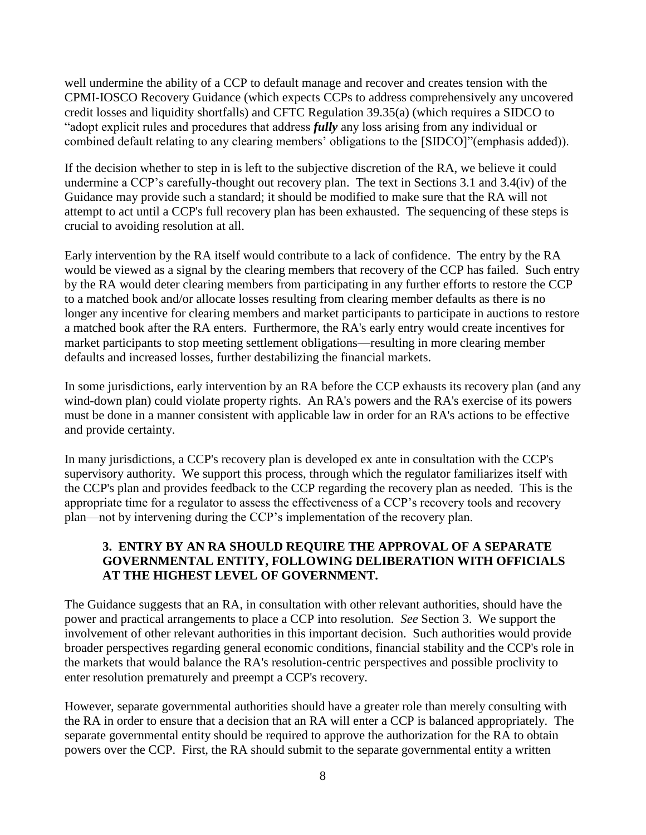well undermine the ability of a CCP to default manage and recover and creates tension with the CPMI-IOSCO Recovery Guidance (which expects CCPs to address comprehensively any uncovered credit losses and liquidity shortfalls) and CFTC Regulation 39.35(a) (which requires a SIDCO to "adopt explicit rules and procedures that address *fully* any loss arising from any individual or combined default relating to any clearing members' obligations to the [SIDCO]"(emphasis added)).

If the decision whether to step in is left to the subjective discretion of the RA, we believe it could undermine a CCP's carefully-thought out recovery plan. The text in Sections 3.1 and 3.4(iv) of the Guidance may provide such a standard; it should be modified to make sure that the RA will not attempt to act until a CCP's full recovery plan has been exhausted. The sequencing of these steps is crucial to avoiding resolution at all.

Early intervention by the RA itself would contribute to a lack of confidence. The entry by the RA would be viewed as a signal by the clearing members that recovery of the CCP has failed. Such entry by the RA would deter clearing members from participating in any further efforts to restore the CCP to a matched book and/or allocate losses resulting from clearing member defaults as there is no longer any incentive for clearing members and market participants to participate in auctions to restore a matched book after the RA enters. Furthermore, the RA's early entry would create incentives for market participants to stop meeting settlement obligations—resulting in more clearing member defaults and increased losses, further destabilizing the financial markets.

In some jurisdictions, early intervention by an RA before the CCP exhausts its recovery plan (and any wind-down plan) could violate property rights. An RA's powers and the RA's exercise of its powers must be done in a manner consistent with applicable law in order for an RA's actions to be effective and provide certainty.

In many jurisdictions, a CCP's recovery plan is developed ex ante in consultation with the CCP's supervisory authority. We support this process, through which the regulator familiarizes itself with the CCP's plan and provides feedback to the CCP regarding the recovery plan as needed. This is the appropriate time for a regulator to assess the effectiveness of a CCP's recovery tools and recovery plan—not by intervening during the CCP's implementation of the recovery plan.

#### **3. ENTRY BY AN RA SHOULD REQUIRE THE APPROVAL OF A SEPARATE GOVERNMENTAL ENTITY, FOLLOWING DELIBERATION WITH OFFICIALS AT THE HIGHEST LEVEL OF GOVERNMENT.**

The Guidance suggests that an RA, in consultation with other relevant authorities, should have the power and practical arrangements to place a CCP into resolution. *See* Section 3. We support the involvement of other relevant authorities in this important decision. Such authorities would provide broader perspectives regarding general economic conditions, financial stability and the CCP's role in the markets that would balance the RA's resolution-centric perspectives and possible proclivity to enter resolution prematurely and preempt a CCP's recovery.

However, separate governmental authorities should have a greater role than merely consulting with the RA in order to ensure that a decision that an RA will enter a CCP is balanced appropriately. The separate governmental entity should be required to approve the authorization for the RA to obtain powers over the CCP. First, the RA should submit to the separate governmental entity a written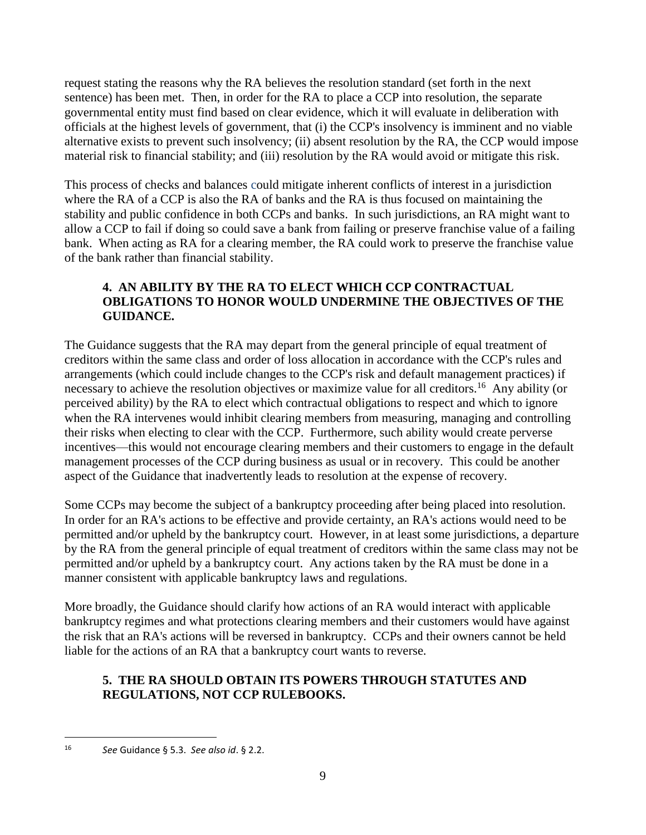request stating the reasons why the RA believes the resolution standard (set forth in the next sentence) has been met. Then, in order for the RA to place a CCP into resolution, the separate governmental entity must find based on clear evidence, which it will evaluate in deliberation with officials at the highest levels of government, that (i) the CCP's insolvency is imminent and no viable alternative exists to prevent such insolvency; (ii) absent resolution by the RA, the CCP would impose material risk to financial stability; and (iii) resolution by the RA would avoid or mitigate this risk.

This process of checks and balances could mitigate inherent conflicts of interest in a jurisdiction where the RA of a CCP is also the RA of banks and the RA is thus focused on maintaining the stability and public confidence in both CCPs and banks. In such jurisdictions, an RA might want to allow a CCP to fail if doing so could save a bank from failing or preserve franchise value of a failing bank. When acting as RA for a clearing member, the RA could work to preserve the franchise value of the bank rather than financial stability.

### **4. AN ABILITY BY THE RA TO ELECT WHICH CCP CONTRACTUAL OBLIGATIONS TO HONOR WOULD UNDERMINE THE OBJECTIVES OF THE GUIDANCE.**

The Guidance suggests that the RA may depart from the general principle of equal treatment of creditors within the same class and order of loss allocation in accordance with the CCP's rules and arrangements (which could include changes to the CCP's risk and default management practices) if necessary to achieve the resolution objectives or maximize value for all creditors.<sup>16</sup> Any ability (or perceived ability) by the RA to elect which contractual obligations to respect and which to ignore when the RA intervenes would inhibit clearing members from measuring, managing and controlling their risks when electing to clear with the CCP. Furthermore, such ability would create perverse incentives—this would not encourage clearing members and their customers to engage in the default management processes of the CCP during business as usual or in recovery. This could be another aspect of the Guidance that inadvertently leads to resolution at the expense of recovery.

Some CCPs may become the subject of a bankruptcy proceeding after being placed into resolution. In order for an RA's actions to be effective and provide certainty, an RA's actions would need to be permitted and/or upheld by the bankruptcy court. However, in at least some jurisdictions, a departure by the RA from the general principle of equal treatment of creditors within the same class may not be permitted and/or upheld by a bankruptcy court. Any actions taken by the RA must be done in a manner consistent with applicable bankruptcy laws and regulations.

More broadly, the Guidance should clarify how actions of an RA would interact with applicable bankruptcy regimes and what protections clearing members and their customers would have against the risk that an RA's actions will be reversed in bankruptcy. CCPs and their owners cannot be held liable for the actions of an RA that a bankruptcy court wants to reverse.

### **5. THE RA SHOULD OBTAIN ITS POWERS THROUGH STATUTES AND REGULATIONS, NOT CCP RULEBOOKS.**

<sup>16</sup> *See* Guidance § 5.3. *See also id*. § 2.2.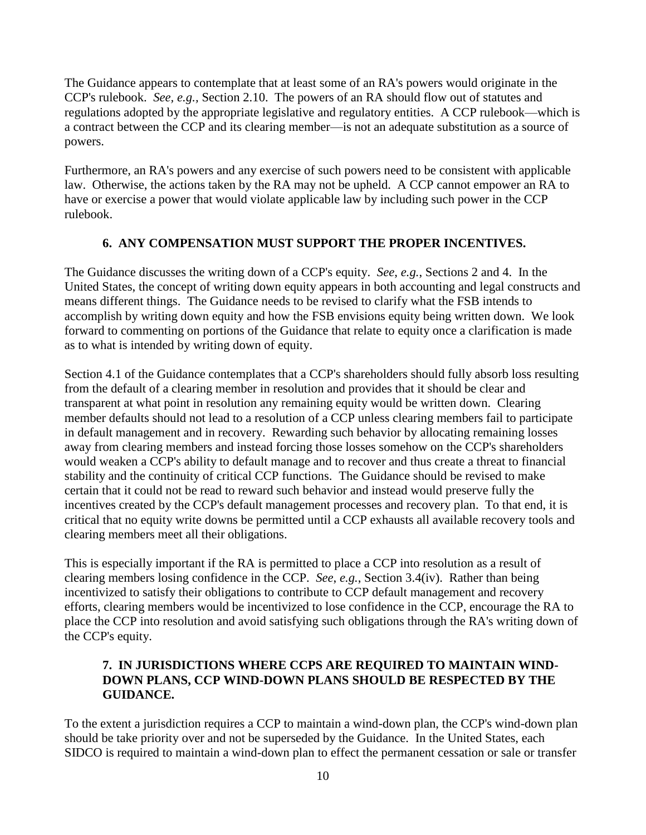The Guidance appears to contemplate that at least some of an RA's powers would originate in the CCP's rulebook. *See, e.g.,* Section 2.10. The powers of an RA should flow out of statutes and regulations adopted by the appropriate legislative and regulatory entities. A CCP rulebook—which is a contract between the CCP and its clearing member—is not an adequate substitution as a source of powers.

Furthermore, an RA's powers and any exercise of such powers need to be consistent with applicable law. Otherwise, the actions taken by the RA may not be upheld. A CCP cannot empower an RA to have or exercise a power that would violate applicable law by including such power in the CCP rulebook.

### **6. ANY COMPENSATION MUST SUPPORT THE PROPER INCENTIVES.**

The Guidance discusses the writing down of a CCP's equity. *See*, *e.g.*, Sections 2 and 4. In the United States, the concept of writing down equity appears in both accounting and legal constructs and means different things. The Guidance needs to be revised to clarify what the FSB intends to accomplish by writing down equity and how the FSB envisions equity being written down. We look forward to commenting on portions of the Guidance that relate to equity once a clarification is made as to what is intended by writing down of equity.

Section 4.1 of the Guidance contemplates that a CCP's shareholders should fully absorb loss resulting from the default of a clearing member in resolution and provides that it should be clear and transparent at what point in resolution any remaining equity would be written down. Clearing member defaults should not lead to a resolution of a CCP unless clearing members fail to participate in default management and in recovery. Rewarding such behavior by allocating remaining losses away from clearing members and instead forcing those losses somehow on the CCP's shareholders would weaken a CCP's ability to default manage and to recover and thus create a threat to financial stability and the continuity of critical CCP functions. The Guidance should be revised to make certain that it could not be read to reward such behavior and instead would preserve fully the incentives created by the CCP's default management processes and recovery plan. To that end, it is critical that no equity write downs be permitted until a CCP exhausts all available recovery tools and clearing members meet all their obligations.

This is especially important if the RA is permitted to place a CCP into resolution as a result of clearing members losing confidence in the CCP. *See*, *e.g.*, Section 3.4(iv). Rather than being incentivized to satisfy their obligations to contribute to CCP default management and recovery efforts, clearing members would be incentivized to lose confidence in the CCP, encourage the RA to place the CCP into resolution and avoid satisfying such obligations through the RA's writing down of the CCP's equity.

### **7. IN JURISDICTIONS WHERE CCPS ARE REQUIRED TO MAINTAIN WIND-DOWN PLANS, CCP WIND-DOWN PLANS SHOULD BE RESPECTED BY THE GUIDANCE.**

To the extent a jurisdiction requires a CCP to maintain a wind-down plan, the CCP's wind-down plan should be take priority over and not be superseded by the Guidance. In the United States, each SIDCO is required to maintain a wind-down plan to effect the permanent cessation or sale or transfer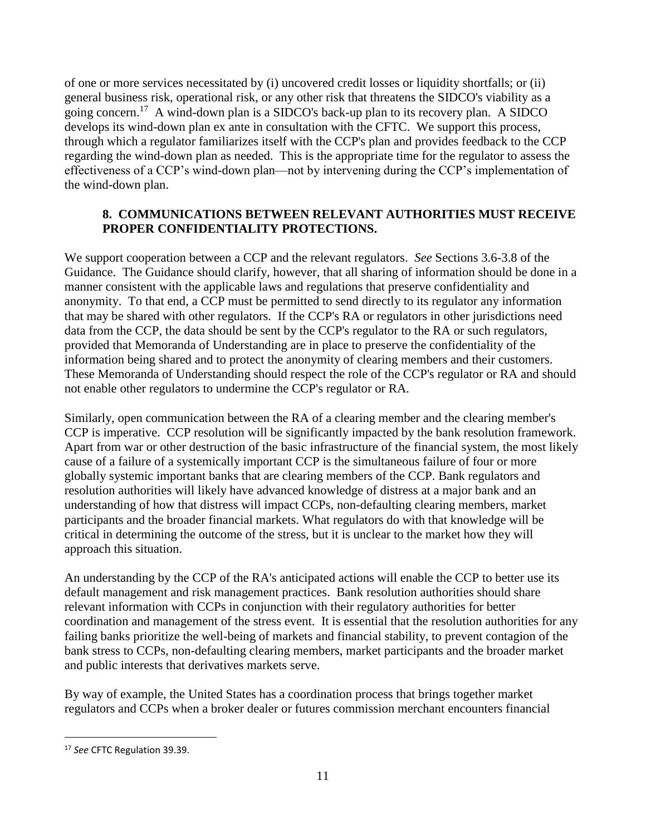of one or more services necessitated by (i) uncovered credit losses or liquidity shortfalls; or (ii) general business risk, operational risk, or any other risk that threatens the SIDCO's viability as a going concern.<sup>17</sup> A wind-down plan is a SIDCO's back-up plan to its recovery plan. A SIDCO develops its wind-down plan ex ante in consultation with the CFTC. We support this process, through which a regulator familiarizes itself with the CCP's plan and provides feedback to the CCP regarding the wind-down plan as needed. This is the appropriate time for the regulator to assess the effectiveness of a CCP's wind-down plan—not by intervening during the CCP's implementation of the wind-down plan.

### **8. COMMUNICATIONS BETWEEN RELEVANT AUTHORITIES MUST RECEIVE PROPER CONFIDENTIALITY PROTECTIONS.**

We support cooperation between a CCP and the relevant regulators. *See* Sections 3.6-3.8 of the Guidance. The Guidance should clarify, however, that all sharing of information should be done in a manner consistent with the applicable laws and regulations that preserve confidentiality and anonymity. To that end, a CCP must be permitted to send directly to its regulator any information that may be shared with other regulators. If the CCP's RA or regulators in other jurisdictions need data from the CCP, the data should be sent by the CCP's regulator to the RA or such regulators, provided that Memoranda of Understanding are in place to preserve the confidentiality of the information being shared and to protect the anonymity of clearing members and their customers. These Memoranda of Understanding should respect the role of the CCP's regulator or RA and should not enable other regulators to undermine the CCP's regulator or RA.

Similarly, open communication between the RA of a clearing member and the clearing member's CCP is imperative. CCP resolution will be significantly impacted by the bank resolution framework. Apart from war or other destruction of the basic infrastructure of the financial system, the most likely cause of a failure of a systemically important CCP is the simultaneous failure of four or more globally systemic important banks that are clearing members of the CCP. Bank regulators and resolution authorities will likely have advanced knowledge of distress at a major bank and an understanding of how that distress will impact CCPs, non-defaulting clearing members, market participants and the broader financial markets. What regulators do with that knowledge will be critical in determining the outcome of the stress, but it is unclear to the market how they will approach this situation.

An understanding by the CCP of the RA's anticipated actions will enable the CCP to better use its default management and risk management practices. Bank resolution authorities should share relevant information with CCPs in conjunction with their regulatory authorities for better coordination and management of the stress event. It is essential that the resolution authorities for any failing banks prioritize the well-being of markets and financial stability, to prevent contagion of the bank stress to CCPs, non-defaulting clearing members, market participants and the broader market and public interests that derivatives markets serve.

By way of example, the United States has a coordination process that brings together market regulators and CCPs when a broker dealer or futures commission merchant encounters financial

<sup>17</sup> *See* CFTC Regulation 39.39.